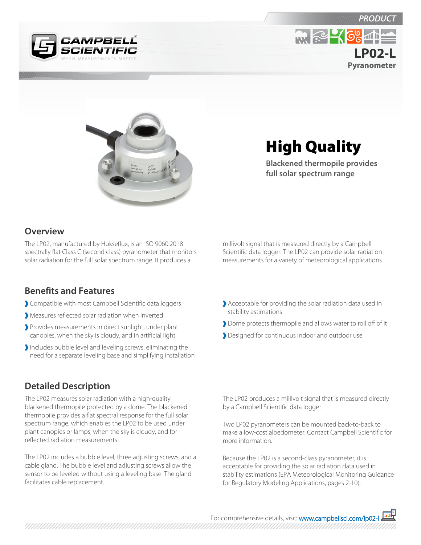

**Pyranometer LP02-L**



# High Quality

**Blackened thermopile provides full solar spectrum range**

#### **Overview**

The LP02, manufactured by Hukseflux, is an ISO 9060:2018 spectrally flat Class C (second class) pyranometer that monitors solar radiation for the full solar spectrum range. It produces a

#### **Benefits and Features**

- Compatible with most Campbell Scientific data loggers
- Measures reflected solar radiation when inverted
- Provides measurements in direct sunlight, under plant canopies, when the sky is cloudy, and in artificial light
- Includes bubble level and leveling screws, eliminating the need for a separate leveling base and simplifying installation

millivolt signal that is measured directly by a Campbell Scientific data logger. The LP02 can provide solar radiation measurements for a variety of meteorological applications.

- Acceptable for providing the solar radiation data used in stability estimations
- Dome protects thermopile and allows water to roll off of it
- **Designed for continuous indoor and outdoor use**

### **Detailed Description**

The LP02 measures solar radiation with a high-quality blackened thermopile protected by a dome. The blackened thermopile provides a flat spectral response for the full solar spectrum range, which enables the LP02 to be used under plant canopies or lamps, when the sky is cloudy, and for reflected radiation measurements.

The LP02 includes a bubble level, three adjusting screws, and a cable gland. The bubble level and adjusting screws allow the sensor to be leveled without using a leveling base. The gland facilitates cable replacement.

The LP02 produces a millivolt signal that is measured directly by a Campbell Scientific data logger.

Two LP02 pyranometers can be mounted back-to-back to make a low-cost albedometer. Contact Campbell Scientific for more information.

Because the LP02 is a second-class pyranometer, it is acceptable for providing the solar radiation data used in stability estimations (EPA Meteorological Monitoring Guidance for Regulatory Modeling Applications, pages 2-10).